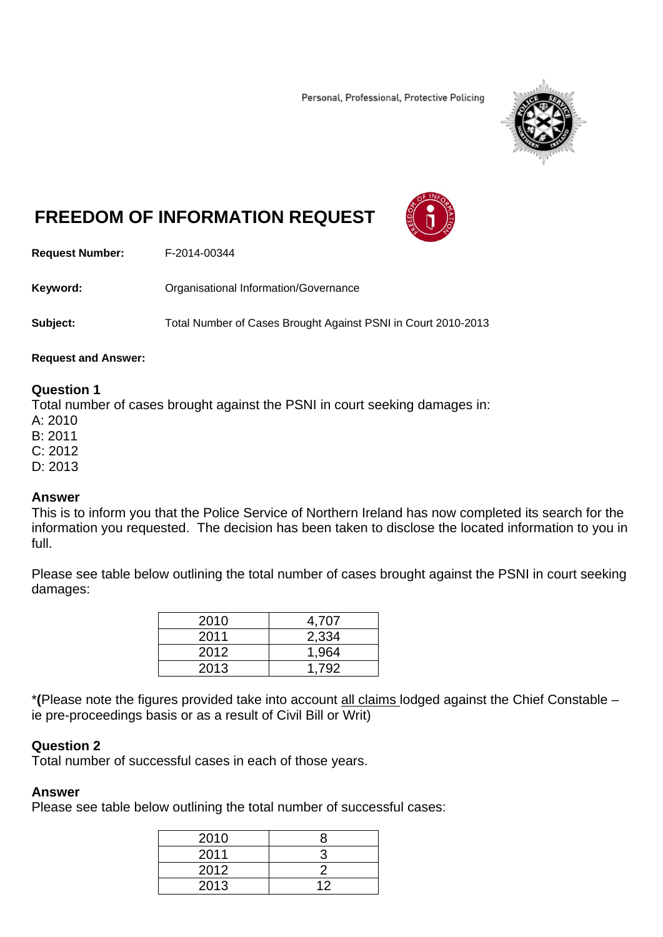Personal, Professional, Protective Policing



# **FREEDOM OF INFORMATION REQUEST**



**Request Number:** F-2014-00344

**Keyword:** Organisational Information/Governance

**Subject:** Total Number of Cases Brought Against PSNI in Court 2010-2013

#### **Request and Answer:**

## **Question 1**

Total number of cases brought against the PSNI in court seeking damages in:

A: 2010

B: 2011

C: 2012

D: 2013

#### **Answer**

This is to inform you that the Police Service of Northern Ireland has now completed its search for the information you requested. The decision has been taken to disclose the located information to you in full.

Please see table below outlining the total number of cases brought against the PSNI in court seeking damages:

| 2010 | 4,707 |
|------|-------|
| 2011 | 2,334 |
| 2012 | 1,964 |
| 2013 | 1.792 |

\***(**Please note the figures provided take into account all claims lodged against the Chief Constable – ie pre-proceedings basis or as a result of Civil Bill or Writ)

## **Question 2**

Total number of successful cases in each of those years.

#### **Answer**

Please see table below outlining the total number of successful cases:

| 2010 |  |
|------|--|
| 2011 |  |
| 2012 |  |
| 2013 |  |